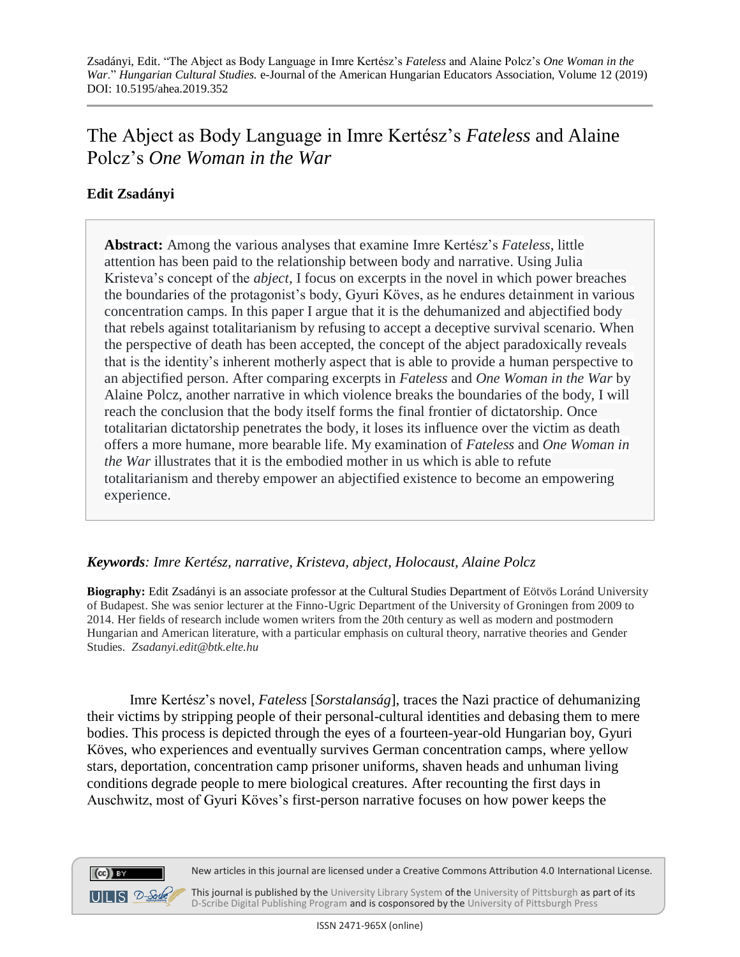# The Abject as Body Language in Imre Kertész's *Fateless* and Alaine Polcz's *One Woman in the War*

## **Edit Zsadányi**

 $(cc)$  BY

**Abstract:** Among the various analyses that examine Imre Kertész's *Fateless*, little attention has been paid to the relationship between body and narrative. Using Julia Kristeva's concept of the *abject,* I focus on excerpts in the novel in which power breaches the boundaries of the protagonist's body, Gyuri Köves, as he endures detainment in various concentration camps. In this paper I argue that it is the dehumanized and abjectified body that rebels against totalitarianism by refusing to accept a deceptive survival scenario. When the perspective of death has been accepted, the concept of the abject paradoxically reveals that is the identity's inherent motherly aspect that is able to provide a human perspective to an abjectified person. After comparing excerpts in *Fateless* and *One Woman in the War* by Alaine Polcz, another narrative in which violence breaks the boundaries of the body, I will reach the conclusion that the body itself forms the final frontier of dictatorship. Once totalitarian dictatorship penetrates the body, it loses its influence over the victim as death offers a more humane, more bearable life. My examination of *Fateless* and *One Woman in the War* illustrates that it is the embodied mother in us which is able to refute totalitarianism and thereby empower an abjectified existence to become an empowering experience.

### *Keywords: Imre Kertész, narrative, Kristeva, abject, Holocaust, Alaine Polcz*

**Biography:** Edit Zsadányi is an associate professor at the Cultural Studies Department of Eötvös Loránd University of Budapest. She was senior lecturer at the Finno-Ugric Department of the University of Groningen from 2009 to 2014. Her fields of research include women writers from the 20th century as well as modern and postmodern Hungarian and American literature, with a particular emphasis on cultural theory, narrative theories and Gender Studies. *Zsadanyi.edit@btk.elte.hu*

Imre Kertész's novel, *Fateless* [*Sorstalanság*], traces the Nazi practice of dehumanizing their victims by stripping people of their personal-cultural identities and debasing them to mere bodies. This process is depicted through the eyes of a fourteen-year-old Hungarian boy, Gyuri Köves, who experiences and eventually survives German concentration camps, where yellow stars, deportation, concentration camp prisoner uniforms, shaven heads and unhuman living conditions degrade people to mere biological creatures. After recounting the first days in Auschwitz, most of Gyuri Köves's first-person narrative focuses on how power keeps the



 $UILS 2-Sch<sub>o</sub>$ This journal is published by the University Library System of the University of Pittsburgh as part of its D-Scribe Digital Publishing Program and is cosponsored by the University of Pittsburgh Press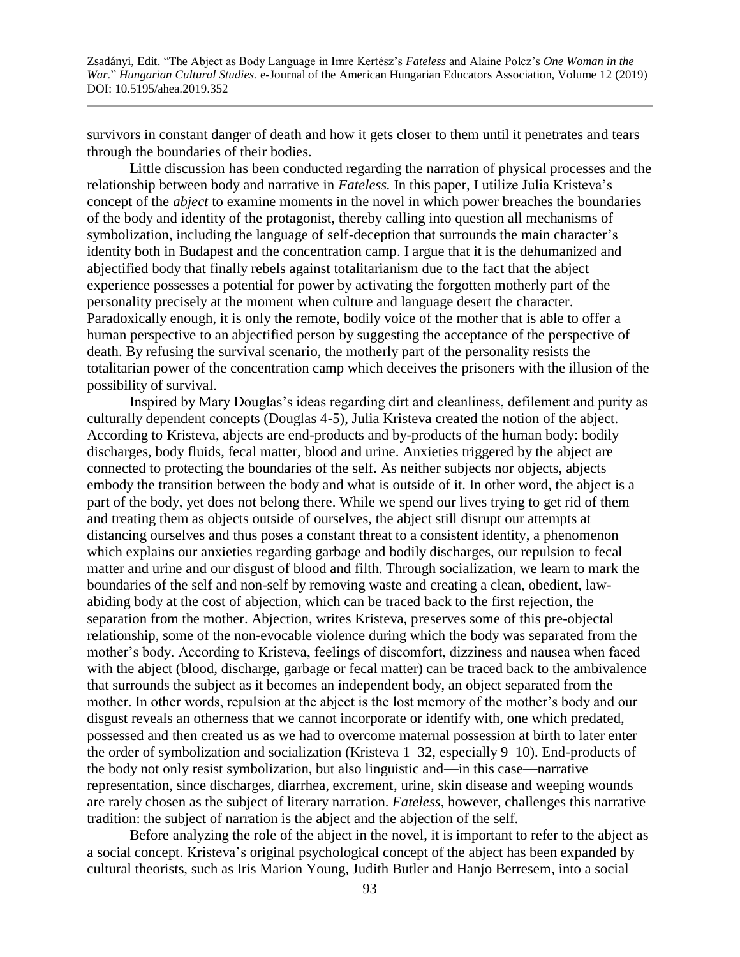survivors in constant danger of death and how it gets closer to them until it penetrates and tears through the boundaries of their bodies.

Little discussion has been conducted regarding the narration of physical processes and the relationship between body and narrative in *Fateless.* In this paper, I utilize Julia Kristeva's concept of the *abject* to examine moments in the novel in which power breaches the boundaries of the body and identity of the protagonist, thereby calling into question all mechanisms of symbolization, including the language of self-deception that surrounds the main character's identity both in Budapest and the concentration camp. I argue that it is the dehumanized and abjectified body that finally rebels against totalitarianism due to the fact that the abject experience possesses a potential for power by activating the forgotten motherly part of the personality precisely at the moment when culture and language desert the character. Paradoxically enough, it is only the remote, bodily voice of the mother that is able to offer a human perspective to an abjectified person by suggesting the acceptance of the perspective of death. By refusing the survival scenario, the motherly part of the personality resists the totalitarian power of the concentration camp which deceives the prisoners with the illusion of the possibility of survival.

Inspired by Mary Douglas's ideas regarding dirt and cleanliness, defilement and purity as culturally dependent concepts (Douglas 4-5), Julia Kristeva created the notion of the abject. According to Kristeva, abjects are end-products and by-products of the human body: bodily discharges, body fluids, fecal matter, blood and urine. Anxieties triggered by the abject are connected to protecting the boundaries of the self. As neither subjects nor objects, abjects embody the transition between the body and what is outside of it. In other word, the abject is a part of the body, yet does not belong there. While we spend our lives trying to get rid of them and treating them as objects outside of ourselves, the abject still disrupt our attempts at distancing ourselves and thus poses a constant threat to a consistent identity, a phenomenon which explains our anxieties regarding garbage and bodily discharges, our repulsion to fecal matter and urine and our disgust of blood and filth. Through socialization, we learn to mark the boundaries of the self and non-self by removing waste and creating a clean, obedient, lawabiding body at the cost of abjection, which can be traced back to the first rejection, the separation from the mother. Abjection, writes Kristeva, preserves some of this pre-objectal relationship, some of the non-evocable violence during which the body was separated from the mother's body. According to Kristeva, feelings of discomfort, dizziness and nausea when faced with the abject (blood, discharge, garbage or fecal matter) can be traced back to the ambivalence that surrounds the subject as it becomes an independent body, an object separated from the mother. In other words, repulsion at the abject is the lost memory of the mother's body and our disgust reveals an otherness that we cannot incorporate or identify with, one which predated, possessed and then created us as we had to overcome maternal possession at birth to later enter the order of symbolization and socialization (Kristeva 1–32, especially 9–10). End-products of the body not only resist symbolization, but also linguistic and—in this case—narrative representation, since discharges, diarrhea, excrement, urine, skin disease and weeping wounds are rarely chosen as the subject of literary narration. *Fateless*, however, challenges this narrative tradition: the subject of narration is the abject and the abjection of the self.

Before analyzing the role of the abject in the novel, it is important to refer to the abject as a social concept. Kristeva's original psychological concept of the abject has been expanded by cultural theorists, such as Iris Marion Young, Judith Butler and Hanjo Berresem, into a social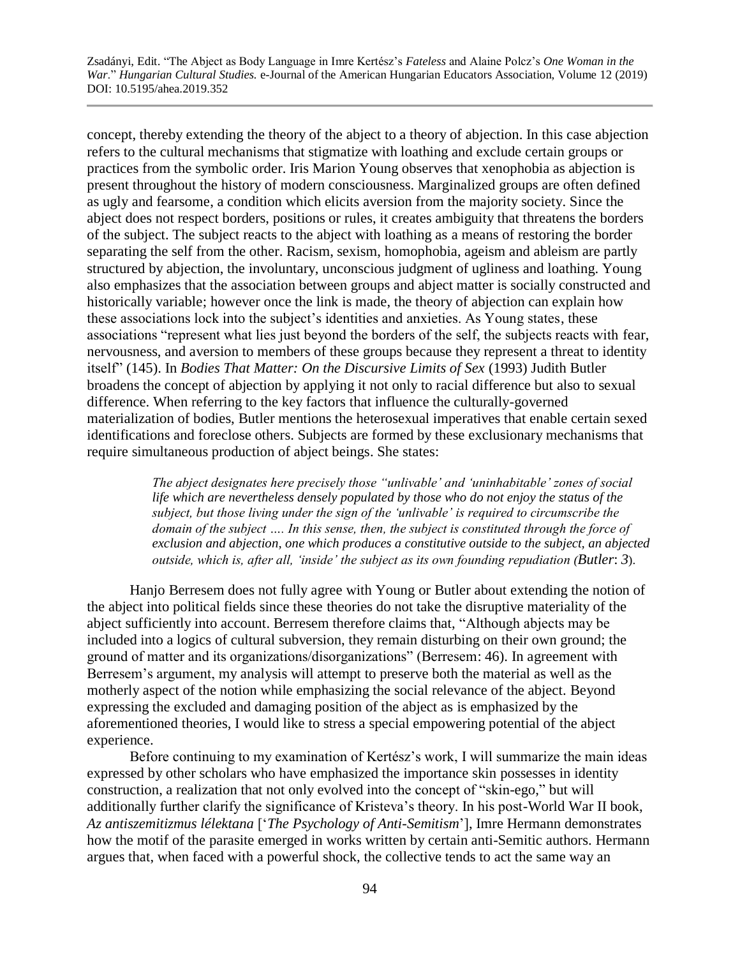concept, thereby extending the theory of the abject to a theory of abjection. In this case abjection refers to the cultural mechanisms that stigmatize with loathing and exclude certain groups or practices from the symbolic order. Iris Marion Young observes that xenophobia as abjection is present throughout the history of modern consciousness. Marginalized groups are often defined as ugly and fearsome, a condition which elicits aversion from the majority society. Since the abject does not respect borders, positions or rules, it creates ambiguity that threatens the borders of the subject. The subject reacts to the abject with loathing as a means of restoring the border separating the self from the other. Racism, sexism, homophobia, ageism and ableism are partly structured by abjection, the involuntary, unconscious judgment of ugliness and loathing. Young also emphasizes that the association between groups and abject matter is socially constructed and historically variable; however once the link is made, the theory of abjection can explain how these associations lock into the subject's identities and anxieties. As Young states, these associations "represent what lies just beyond the borders of the self, the subjects reacts with fear, nervousness, and aversion to members of these groups because they represent a threat to identity itself" (145). In *Bodies That Matter: On the Discursive Limits of Sex* (1993) Judith Butler broadens the concept of abjection by applying it not only to racial difference but also to sexual difference. When referring to the key factors that influence the culturally-governed materialization of bodies, Butler mentions the heterosexual imperatives that enable certain sexed identifications and foreclose others. Subjects are formed by these exclusionary mechanisms that require simultaneous production of abject beings. She states:

> *The abject designates here precisely those "unlivable' and 'uninhabitable' zones of social life which are nevertheless densely populated by those who do not enjoy the status of the subject, but those living under the sign of the 'unlivable' is required to circumscribe the domain of the subject …. In this sense, then, the subject is constituted through the force of exclusion and abjection, one which produces a constitutive outside to the subject, an abjected outside, which is, after all, 'inside' the subject as its own founding repudiation (Butler*: *3*).

Hanjo Berresem does not fully agree with Young or Butler about extending the notion of the abject into political fields since these theories do not take the disruptive materiality of the abject sufficiently into account. Berresem therefore claims that, "Although abjects may be included into a logics of cultural subversion, they remain disturbing on their own ground; the ground of matter and its organizations/disorganizations" (Berresem: 46). In agreement with Berresem's argument, my analysis will attempt to preserve both the material as well as the motherly aspect of the notion while emphasizing the social relevance of the abject. Beyond expressing the excluded and damaging position of the abject as is emphasized by the aforementioned theories, I would like to stress a special empowering potential of the abject experience.

Before continuing to my examination of Kertész's work, I will summarize the main ideas expressed by other scholars who have emphasized the importance skin possesses in identity construction, a realization that not only evolved into the concept of "skin-ego," but will additionally further clarify the significance of Kristeva's theory. In his post-World War II book, *Az antiszemitizmus lélektana* ['*The Psychology of Anti-Semitism*'], Imre Hermann demonstrates how the motif of the parasite emerged in works written by certain anti-Semitic authors. Hermann argues that, when faced with a powerful shock, the collective tends to act the same way an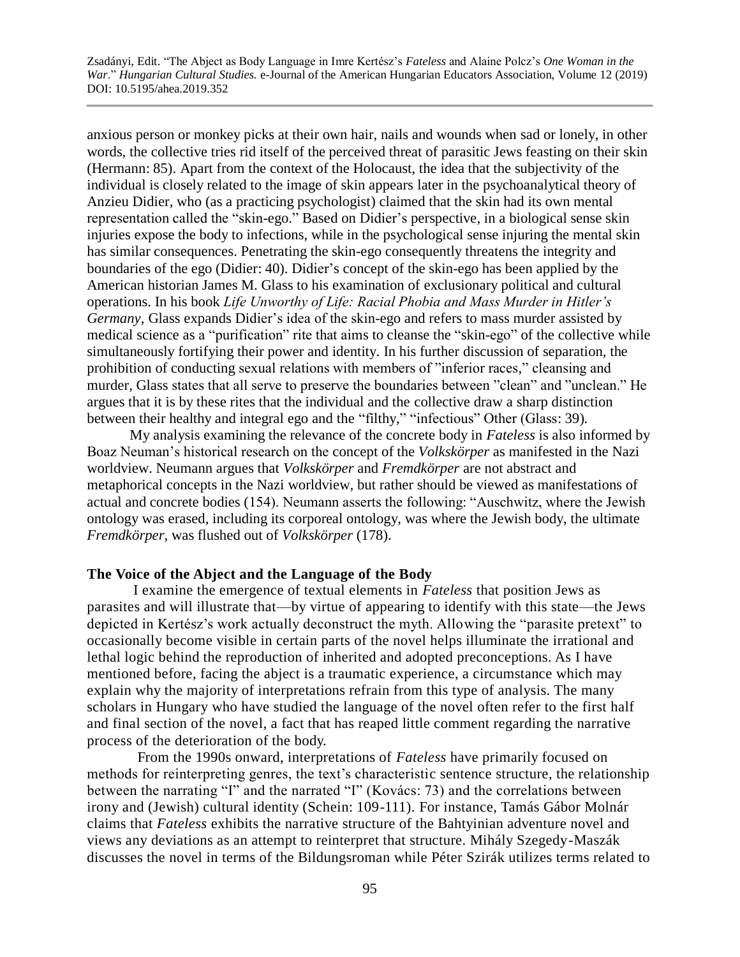anxious person or monkey picks at their own hair, nails and wounds when sad or lonely, in other words, the collective tries rid itself of the perceived threat of parasitic Jews feasting on their skin (Hermann: 85). Apart from the context of the Holocaust, the idea that the subjectivity of the individual is closely related to the image of skin appears later in the psychoanalytical theory of Anzieu Didier, who (as a practicing psychologist) claimed that the skin had its own mental representation called the "skin-ego." Based on Didier's perspective, in a biological sense skin injuries expose the body to infections, while in the psychological sense injuring the mental skin has similar consequences. Penetrating the skin-ego consequently threatens the integrity and boundaries of the ego (Didier: 40). Didier's concept of the skin-ego has been applied by the American historian James M. Glass to his examination of exclusionary political and cultural operations. In his book *Life Unworthy of Life: Racial Phobia and Mass Murder in Hitler's Germany,* Glass expands Didier's idea of the skin-ego and refers to mass murder assisted by medical science as a "purification" rite that aims to cleanse the "skin-ego" of the collective while simultaneously fortifying their power and identity. In his further discussion of separation, the prohibition of conducting sexual relations with members of "inferior races," cleansing and murder, Glass states that all serve to preserve the boundaries between "clean" and "unclean." He argues that it is by these rites that the individual and the collective draw a sharp distinction between their healthy and integral ego and the "filthy," "infectious" Other (Glass: 39)*.*

My analysis examining the relevance of the concrete body in *Fateless* is also informed by Boaz Neuman's historical research on the concept of the *Volkskörper* as manifested in the Nazi worldview. Neumann argues that *Volkskörper* and *Fremdkörper* are not abstract and metaphorical concepts in the Nazi worldview*,* but rather should be viewed as manifestations of actual and concrete bodies (154). Neumann asserts the following: "Auschwitz, where the Jewish ontology was erased, including its corporeal ontology, was where the Jewish body, the ultimate *Fremdkörper,* was flushed out of *Volkskörper* (178).

#### **The Voice of the Abject and the Language of the Body**

 I examine the emergence of textual elements in *Fateless* that position Jews as parasites and will illustrate that—by virtue of appearing to identify with this state—the Jews depicted in Kertész's work actually deconstruct the myth. Allowing the "parasite pretext" to occasionally become visible in certain parts of the novel helps illuminate the irrational and lethal logic behind the reproduction of inherited and adopted preconceptions. As I have mentioned before, facing the abject is a traumatic experience, a circumstance which may explain why the majority of interpretations refrain from this type of analysis. The many scholars in Hungary who have studied the language of the novel often refer to the first half and final section of the novel, a fact that has reaped little comment regarding the narrative process of the deterioration of the body.

 From the 1990s onward, interpretations of *Fateless* have primarily focused on methods for reinterpreting genres, the text's characteristic sentence structure, the relationship between the narrating "I" and the narrated "I" (Kovács: 73) and the correlations between irony and (Jewish) cultural identity (Schein: 109-111). For instance, Tamás Gábor Molnár claims that *Fateless* exhibits the narrative structure of the Bahtyinian adventure novel and views any deviations as an attempt to reinterpret that structure. Mihály Szegedy-Maszák discusses the novel in terms of the Bildungsroman while Péter Szirák utilizes terms related to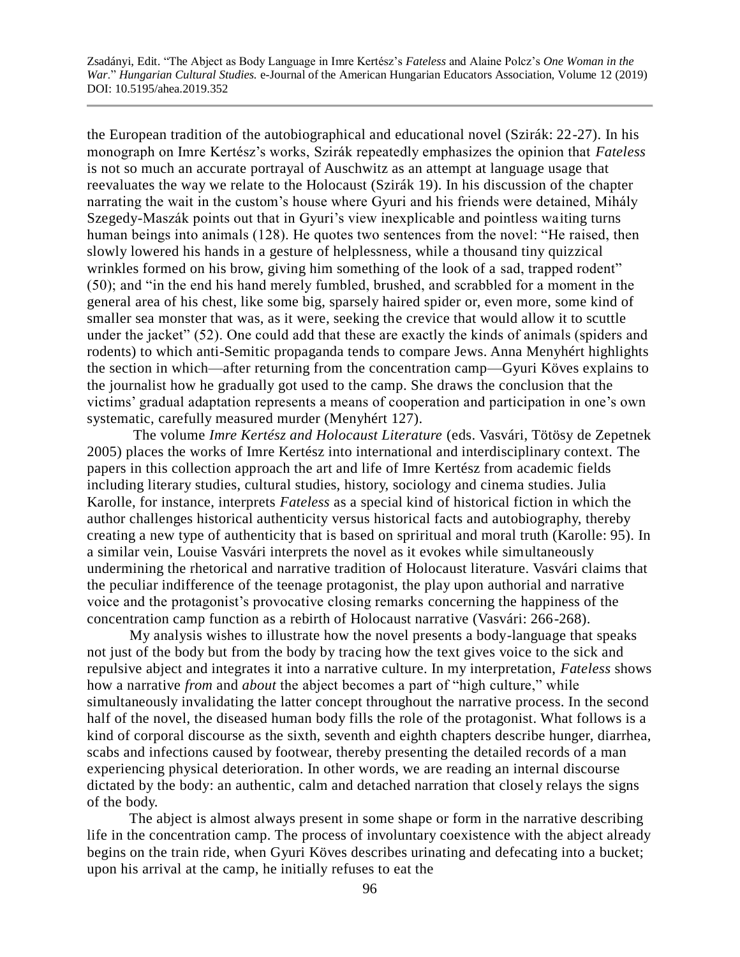the European tradition of the autobiographical and educational novel (Szirák: 22-27). In his monograph on Imre Kertész's works, Szirák repeatedly emphasizes the opinion that *Fateless* is not so much an accurate portrayal of Auschwitz as an attempt at language usage that reevaluates the way we relate to the Holocaust (Szirák 19). In his discussion of the chapter narrating the wait in the custom's house where Gyuri and his friends were detained, Mihály Szegedy-Maszák points out that in Gyuri's view inexplicable and pointless waiting turns human beings into animals (128). He quotes two sentences from the novel: "He raised, then slowly lowered his hands in a gesture of helplessness, while a thousand tiny quizzical wrinkles formed on his brow, giving him something of the look of a sad, trapped rodent" (50); and "in the end his hand merely fumbled, brushed, and scrabbled for a moment in the general area of his chest, like some big, sparsely haired spider or, even more, some kind of smaller sea monster that was, as it were, seeking the crevice that would allow it to scuttle under the jacket" (52). One could add that these are exactly the kinds of animals (spiders and rodents) to which anti-Semitic propaganda tends to compare Jews. Anna Menyhért highlights the section in which—after returning from the concentration camp—Gyuri Köves explains to the journalist how he gradually got used to the camp. She draws the conclusion that the victims' gradual adaptation represents a means of cooperation and participation in one's own systematic, carefully measured murder (Menyhért 127).

 The volume *Imre Kertész and Holocaust Literature* (eds. Vasvári, Tötösy de Zepetnek 2005) places the works of Imre Kertész into international and interdisciplinary context. The papers in this collection approach the art and life of Imre Kertész from academic fields including literary studies, cultural studies, history, sociology and cinema studies. Julia Karolle, for instance, interprets *Fateless* as a special kind of historical fiction in which the author challenges historical authenticity versus historical facts and autobiography, thereby creating a new type of authenticity that is based on spriritual and moral truth (Karolle: 95). In a similar vein, Louise Vasvári interprets the novel as it evokes while simultaneously undermining the rhetorical and narrative tradition of Holocaust literature. Vasvári claims that the peculiar indifference of the teenage protagonist, the play upon authorial and narrative voice and the protagonist's provocative closing remarks concerning the happiness of the concentration camp function as a rebirth of Holocaust narrative (Vasvári: 266-268).

 My analysis wishes to illustrate how the novel presents a body-language that speaks not just of the body but from the body by tracing how the text gives voice to the sick and repulsive abject and integrates it into a narrative culture. In my interpretation, *Fateless* shows how a narrative *from* and *about* the abject becomes a part of "high culture," while simultaneously invalidating the latter concept throughout the narrative process. In the second half of the novel, the diseased human body fills the role of the protagonist. What follows is a kind of corporal discourse as the sixth, seventh and eighth chapters describe hunger, diarrhea, scabs and infections caused by footwear, thereby presenting the detailed records of a man experiencing physical deterioration. In other words, we are reading an internal discourse dictated by the body: an authentic, calm and detached narration that closely relays the signs of the body.

 The abject is almost always present in some shape or form in the narrative describing life in the concentration camp. The process of involuntary coexistence with the abject already begins on the train ride, when Gyuri Köves describes urinating and defecating into a bucket; upon his arrival at the camp, he initially refuses to eat the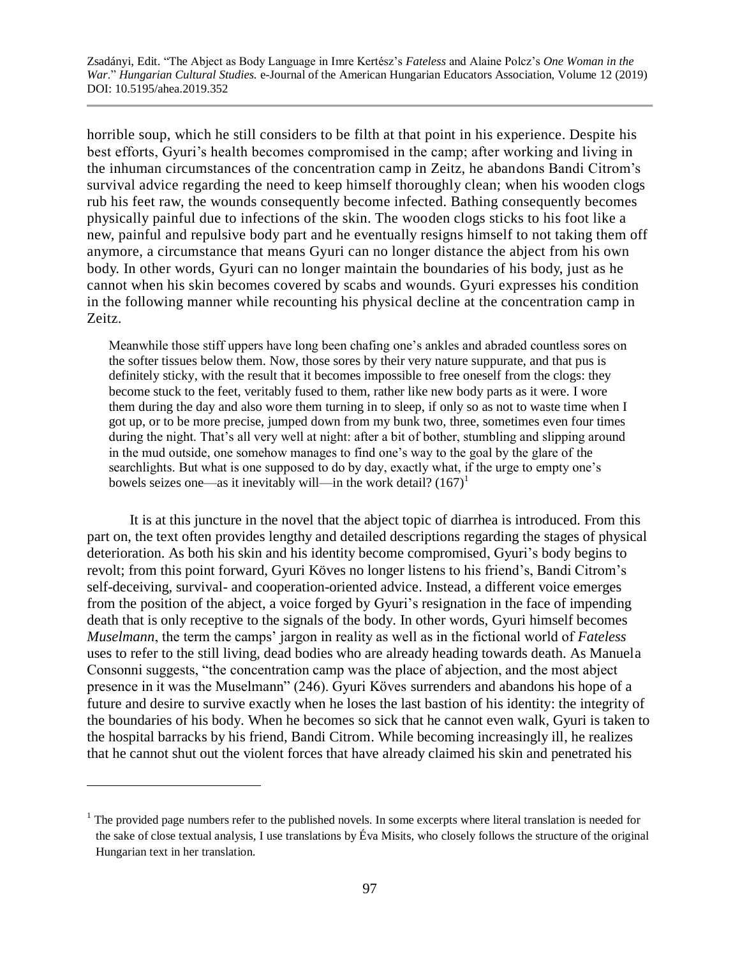horrible soup, which he still considers to be filth at that point in his experience. Despite his best efforts, Gyuri's health becomes compromised in the camp; after working and living in the inhuman circumstances of the concentration camp in Zeitz, he abandons Bandi Citrom's survival advice regarding the need to keep himself thoroughly clean; when his wooden clogs rub his feet raw, the wounds consequently become infected. Bathing consequently becomes physically painful due to infections of the skin. The wooden clogs sticks to his foot like a new, painful and repulsive body part and he eventually resigns himself to not taking them off anymore, a circumstance that means Gyuri can no longer distance the abject from his own body. In other words, Gyuri can no longer maintain the boundaries of his body, just as he cannot when his skin becomes covered by scabs and wounds. Gyuri expresses his condition in the following manner while recounting his physical decline at the concentration camp in Zeitz.

Meanwhile those stiff uppers have long been chafing one's ankles and abraded countless sores on the softer tissues below them. Now, those sores by their very nature suppurate, and that pus is definitely sticky, with the result that it becomes impossible to free oneself from the clogs: they become stuck to the feet, veritably fused to them, rather like new body parts as it were. I wore them during the day and also wore them turning in to sleep, if only so as not to waste time when I got up, or to be more precise, jumped down from my bunk two, three, sometimes even four times during the night. That's all very well at night: after a bit of bother, stumbling and slipping around in the mud outside, one somehow manages to find one's way to the goal by the glare of the searchlights. But what is one supposed to do by day, exactly what, if the urge to empty one's bowels seizes one—as it inevitably will—in the work detail?  $(167)^1$ 

It is at this juncture in the novel that the abject topic of diarrhea is introduced. From this part on, the text often provides lengthy and detailed descriptions regarding the stages of physical deterioration. As both his skin and his identity become compromised, Gyuri's body begins to revolt; from this point forward, Gyuri Köves no longer listens to his friend's, Bandi Citrom's self-deceiving, survival- and cooperation-oriented advice. Instead, a different voice emerges from the position of the abject, a voice forged by Gyuri's resignation in the face of impending death that is only receptive to the signals of the body. In other words, Gyuri himself becomes *Muselmann*, the term the camps' jargon in reality as well as in the fictional world of *Fateless*  uses to refer to the still living, dead bodies who are already heading towards death. As Manuela Consonni suggests, "the concentration camp was the place of abjection, and the most abject presence in it was the Muselmann" (246). Gyuri Köves surrenders and abandons his hope of a future and desire to survive exactly when he loses the last bastion of his identity: the integrity of the boundaries of his body. When he becomes so sick that he cannot even walk, Gyuri is taken to the hospital barracks by his friend, Bandi Citrom. While becoming increasingly ill, he realizes that he cannot shut out the violent forces that have already claimed his skin and penetrated his

 $\overline{a}$ 

 $1$  The provided page numbers refer to the published novels. In some excerpts where literal translation is needed for the sake of close textual analysis, I use translations by Éva Misits, who closely follows the structure of the original Hungarian text in her translation.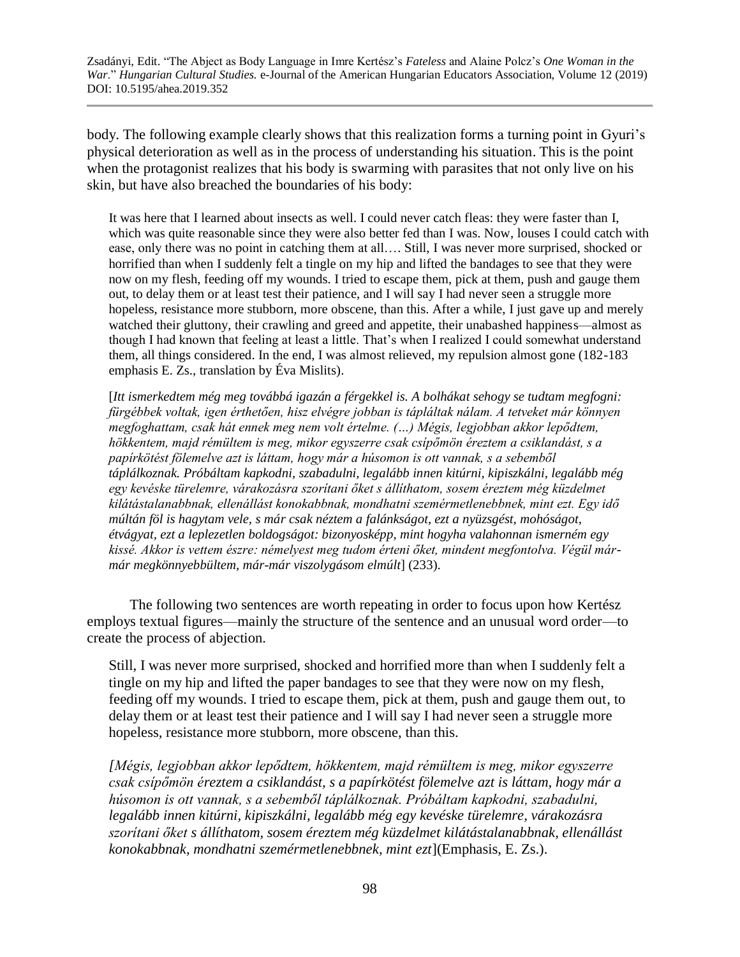body. The following example clearly shows that this realization forms a turning point in Gyuri's physical deterioration as well as in the process of understanding his situation. This is the point when the protagonist realizes that his body is swarming with parasites that not only live on his skin, but have also breached the boundaries of his body:

It was here that I learned about insects as well. I could never catch fleas: they were faster than I, which was quite reasonable since they were also better fed than I was. Now, louses I could catch with ease, only there was no point in catching them at all…. Still, I was never more surprised, shocked or horrified than when I suddenly felt a tingle on my hip and lifted the bandages to see that they were now on my flesh, feeding off my wounds. I tried to escape them, pick at them, push and gauge them out, to delay them or at least test their patience, and I will say I had never seen a struggle more hopeless, resistance more stubborn, more obscene, than this. After a while, I just gave up and merely watched their gluttony, their crawling and greed and appetite, their unabashed happiness—almost as though I had known that feeling at least a little. That's when I realized I could somewhat understand them, all things considered. In the end, I was almost relieved, my repulsion almost gone (182-183 emphasis E. Zs., translation by Éva Mislits).

[*Itt ismerkedtem még meg továbbá igazán a férgekkel is. A bolhákat sehogy se tudtam megfogni: fürgébbek voltak, igen érthetően, hisz elvégre jobban is tápláltak nálam. A tetveket már könnyen megfoghattam, csak hát ennek meg nem volt értelme. (…) Mégis, legjobban akkor lepődtem, hökkentem, majd rémültem is meg, mikor egyszerre csak csípőmön éreztem a csiklandást, s a papírkötést fölemelve azt is láttam, hogy már a húsomon is ott vannak, s a sebemből táplálkoznak. Próbáltam kapkodni, szabadulni, legalább innen kitúrni, kipiszkálni, legalább még egy kevéske türelemre, várakozásra szorítani őket s állíthatom, sosem éreztem még küzdelmet kilátástalanabbnak, ellenállást konokabbnak, mondhatni szemérmetlenebbnek, mint ezt. Egy idő múltán föl is hagytam vele, s már csak néztem a falánkságot, ezt a nyüzsgést, mohóságot, étvágyat, ezt a leplezetlen boldogságot: bizonyosképp, mint hogyha valahonnan ismerném egy kissé. Akkor is vettem észre: némelyest meg tudom érteni őket, mindent megfontolva. Végül mármár megkönnyebbültem, már-már viszolygásom elmúlt*] (233).

The following two sentences are worth repeating in order to focus upon how Kertész employs textual figures—mainly the structure of the sentence and an unusual word order—to create the process of abjection.

Still, I was never more surprised, shocked and horrified more than when I suddenly felt a tingle on my hip and lifted the paper bandages to see that they were now on my flesh, feeding off my wounds. I tried to escape them, pick at them, push and gauge them out, to delay them or at least test their patience and I will say I had never seen a struggle more hopeless, resistance more stubborn, more obscene, than this.

*[Mégis, legjobban akkor lepődtem, hökkentem, majd rémültem is meg, mikor egyszerre csak csípőmön éreztem a csiklandást, s a papírkötést fölemelve azt is láttam, hogy már a húsomon is ott vannak, s a sebemből táplálkoznak. Próbáltam kapkodni, szabadulni, legalább innen kitúrni, kipiszkálni, legalább még egy kevéske türelemre, várakozásra szorítani őket s állíthatom, sosem éreztem még küzdelmet kilátástalanabbnak, ellenállást konokabbnak, mondhatni szemérmetlenebbnek, mint ezt*](Emphasis, E. Zs.).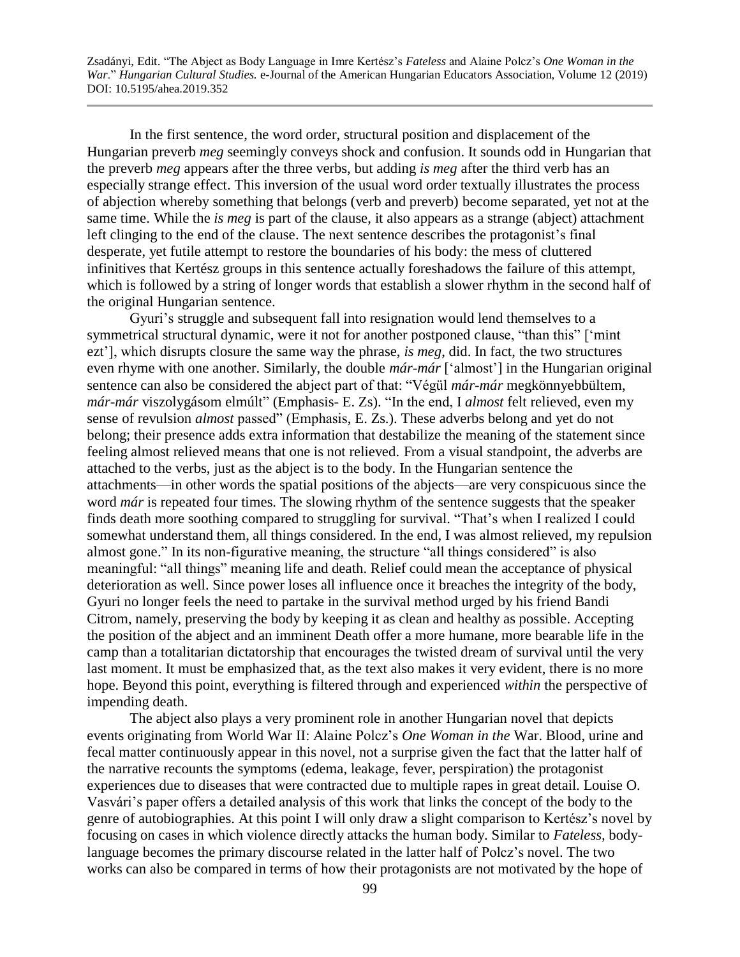In the first sentence, the word order, structural position and displacement of the Hungarian preverb *meg* seemingly conveys shock and confusion. It sounds odd in Hungarian that the preverb *meg* appears after the three verbs, but adding *is meg* after the third verb has an especially strange effect. This inversion of the usual word order textually illustrates the process of abjection whereby something that belongs (verb and preverb) become separated, yet not at the same time. While the *is meg* is part of the clause, it also appears as a strange (abject) attachment left clinging to the end of the clause. The next sentence describes the protagonist's final desperate, yet futile attempt to restore the boundaries of his body: the mess of cluttered infinitives that Kertész groups in this sentence actually foreshadows the failure of this attempt, which is followed by a string of longer words that establish a slower rhythm in the second half of the original Hungarian sentence.

Gyuri's struggle and subsequent fall into resignation would lend themselves to a symmetrical structural dynamic, were it not for another postponed clause, "than this" ['mint ezt'], which disrupts closure the same way the phrase, *is meg*, did. In fact, the two structures even rhyme with one another. Similarly, the double *már-már* ['almost'] in the Hungarian original sentence can also be considered the abject part of that: "Végül *már-már* megkönnyebbültem, *már-már* viszolygásom elmúlt" (Emphasis- E. Zs). "In the end, I *almost* felt relieved, even my sense of revulsion *almost* passed" (Emphasis, E. Zs.). These adverbs belong and yet do not belong; their presence adds extra information that destabilize the meaning of the statement since feeling almost relieved means that one is not relieved. From a visual standpoint, the adverbs are attached to the verbs, just as the abject is to the body. In the Hungarian sentence the attachments—in other words the spatial positions of the abjects—are very conspicuous since the word *már* is repeated four times. The slowing rhythm of the sentence suggests that the speaker finds death more soothing compared to struggling for survival. "That's when I realized I could somewhat understand them, all things considered. In the end, I was almost relieved, my repulsion almost gone." In its non-figurative meaning, the structure "all things considered" is also meaningful: "all things" meaning life and death. Relief could mean the acceptance of physical deterioration as well. Since power loses all influence once it breaches the integrity of the body, Gyuri no longer feels the need to partake in the survival method urged by his friend Bandi Citrom, namely, preserving the body by keeping it as clean and healthy as possible. Accepting the position of the abject and an imminent Death offer a more humane, more bearable life in the camp than a totalitarian dictatorship that encourages the twisted dream of survival until the very last moment. It must be emphasized that, as the text also makes it very evident, there is no more hope. Beyond this point, everything is filtered through and experienced *within* the perspective of impending death.

The abject also plays a very prominent role in another Hungarian novel that depicts events originating from World War II: Alaine Polcz's *One Woman in the* War. Blood, urine and fecal matter continuously appear in this novel, not a surprise given the fact that the latter half of the narrative recounts the symptoms (edema, leakage, fever, perspiration) the protagonist experiences due to diseases that were contracted due to multiple rapes in great detail. Louise O. Vasvári's paper offers a detailed analysis of this work that links the concept of the body to the genre of autobiographies. At this point I will only draw a slight comparison to Kertész's novel by focusing on cases in which violence directly attacks the human body. Similar to *Fateless,* bodylanguage becomes the primary discourse related in the latter half of Polcz's novel. The two works can also be compared in terms of how their protagonists are not motivated by the hope of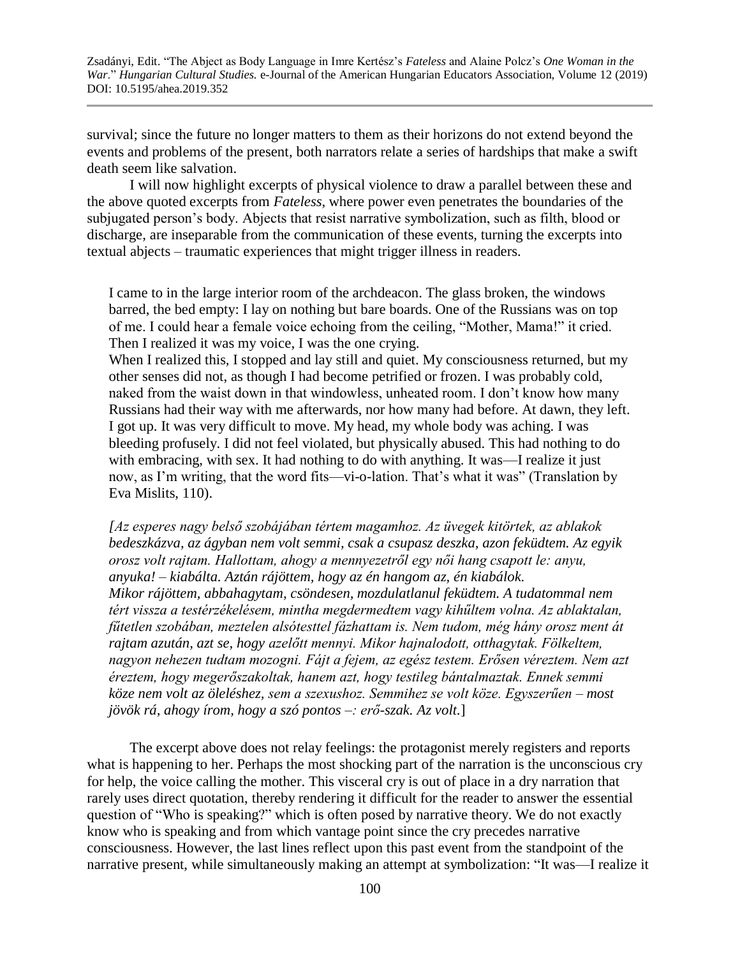survival; since the future no longer matters to them as their horizons do not extend beyond the events and problems of the present, both narrators relate a series of hardships that make a swift death seem like salvation.

I will now highlight excerpts of physical violence to draw a parallel between these and the above quoted excerpts from *Fateless*, where power even penetrates the boundaries of the subjugated person's body. Abjects that resist narrative symbolization, such as filth, blood or discharge, are inseparable from the communication of these events, turning the excerpts into textual abjects – traumatic experiences that might trigger illness in readers.

I came to in the large interior room of the archdeacon. The glass broken, the windows barred, the bed empty: I lay on nothing but bare boards. One of the Russians was on top of me. I could hear a female voice echoing from the ceiling, "Mother, Mama!" it cried. Then I realized it was my voice, I was the one crying.

When I realized this, I stopped and lay still and quiet. My consciousness returned, but my other senses did not, as though I had become petrified or frozen. I was probably cold, naked from the waist down in that windowless, unheated room. I don't know how many Russians had their way with me afterwards, nor how many had before. At dawn, they left. I got up. It was very difficult to move. My head, my whole body was aching. I was bleeding profusely. I did not feel violated, but physically abused. This had nothing to do with embracing, with sex. It had nothing to do with anything. It was—I realize it just now, as I'm writing, that the word fits—vi-o-lation. That's what it was" (Translation by Eva Mislits, 110).

*[Az esperes nagy belső szobájában tértem magamhoz. Az üvegek kitörtek, az ablakok bedeszkázva, az ágyban nem volt semmi, csak a csupasz deszka, azon feküdtem. Az egyik orosz volt rajtam. Hallottam, ahogy a mennyezetről egy női hang csapott le: anyu, anyuka! – kiabálta. Aztán rájöttem, hogy az én hangom az, én kiabálok. Mikor rájöttem, abbahagytam, csöndesen, mozdulatlanul feküdtem. A tudatommal nem tért vissza a testérzékelésem, mintha megdermedtem vagy kihűltem volna. Az ablaktalan, fűtetlen szobában, meztelen alsótesttel fázhattam is. Nem tudom, még hány orosz ment át rajtam azután, azt se, hogy azelőtt mennyi. Mikor hajnalodott, otthagytak. Fölkeltem, nagyon nehezen tudtam mozogni. Fájt a fejem, az egész testem. Erősen véreztem. Nem azt éreztem, hogy megerőszakoltak, hanem azt, hogy testileg bántalmaztak. Ennek semmi köze nem volt az öleléshez, sem a szexushoz. Semmihez se volt köze. Egyszerűen – most jövök rá, ahogy írom, hogy a szó pontos –: erő-szak. Az volt.*]

The excerpt above does not relay feelings: the protagonist merely registers and reports what is happening to her. Perhaps the most shocking part of the narration is the unconscious cry for help, the voice calling the mother. This visceral cry is out of place in a dry narration that rarely uses direct quotation, thereby rendering it difficult for the reader to answer the essential question of "Who is speaking?" which is often posed by narrative theory. We do not exactly know who is speaking and from which vantage point since the cry precedes narrative consciousness. However, the last lines reflect upon this past event from the standpoint of the narrative present, while simultaneously making an attempt at symbolization: "It was—I realize it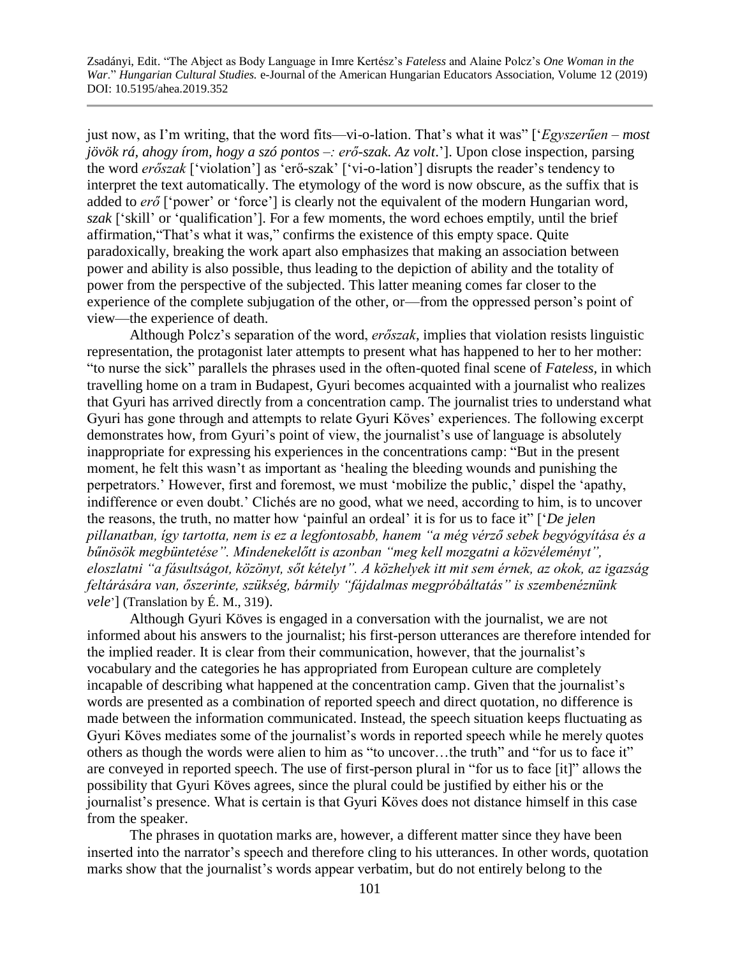just now, as I'm writing, that the word fits—vi-o-lation. That's what it was" ['*Egyszerűen – most jövök rá, ahogy írom, hogy a szó pontos –: erő-szak. Az volt*.']. Upon close inspection, parsing the word *erőszak* ['violation'] as 'erő-szak' ['vi-o-lation'] disrupts the reader's tendency to interpret the text automatically. The etymology of the word is now obscure, as the suffix that is added to *erő* ['power' or 'force'] is clearly not the equivalent of the modern Hungarian word, *szak* ['skill' or 'qualification']. For a few moments, the word echoes emptily, until the brief affirmation,"That's what it was," confirms the existence of this empty space. Quite paradoxically, breaking the work apart also emphasizes that making an association between power and ability is also possible, thus leading to the depiction of ability and the totality of power from the perspective of the subjected. This latter meaning comes far closer to the experience of the complete subjugation of the other, or—from the oppressed person's point of view—the experience of death.

Although Polcz's separation of the word, *erőszak*, implies that violation resists linguistic representation, the protagonist later attempts to present what has happened to her to her mother: "to nurse the sick" parallels the phrases used in the often-quoted final scene of *Fateless,* in which travelling home on a tram in Budapest, Gyuri becomes acquainted with a journalist who realizes that Gyuri has arrived directly from a concentration camp. The journalist tries to understand what Gyuri has gone through and attempts to relate Gyuri Köves' experiences. The following excerpt demonstrates how, from Gyuri's point of view, the journalist's use of language is absolutely inappropriate for expressing his experiences in the concentrations camp: "But in the present moment, he felt this wasn't as important as 'healing the bleeding wounds and punishing the perpetrators.' However, first and foremost, we must 'mobilize the public,' dispel the 'apathy, indifference or even doubt.' Clichés are no good, what we need, according to him, is to uncover the reasons, the truth, no matter how 'painful an ordeal' it is for us to face it" ['*De jelen pillanatban, így tartotta, nem is ez a legfontosabb, hanem "a még vérző sebek begyógyítása és a bűnösök megbüntetése". Mindenekelőtt is azonban "meg kell mozgatni a közvéleményt", eloszlatni "a fásultságot, közönyt, sőt kételyt". A közhelyek itt mit sem érnek, az okok, az igazság feltárására van, őszerinte, szükség, bármily "fájdalmas megpróbáltatás" is szembenéznünk vele*'] (Translation by É. M., 319).

Although Gyuri Köves is engaged in a conversation with the journalist, we are not informed about his answers to the journalist; his first-person utterances are therefore intended for the implied reader. It is clear from their communication, however, that the journalist's vocabulary and the categories he has appropriated from European culture are completely incapable of describing what happened at the concentration camp. Given that the journalist's words are presented as a combination of reported speech and direct quotation, no difference is made between the information communicated. Instead, the speech situation keeps fluctuating as Gyuri Köves mediates some of the journalist's words in reported speech while he merely quotes others as though the words were alien to him as "to uncover…the truth" and "for us to face it" are conveyed in reported speech. The use of first-person plural in "for us to face [it]" allows the possibility that Gyuri Köves agrees, since the plural could be justified by either his or the journalist's presence. What is certain is that Gyuri Köves does not distance himself in this case from the speaker.

The phrases in quotation marks are, however, a different matter since they have been inserted into the narrator's speech and therefore cling to his utterances. In other words, quotation marks show that the journalist's words appear verbatim, but do not entirely belong to the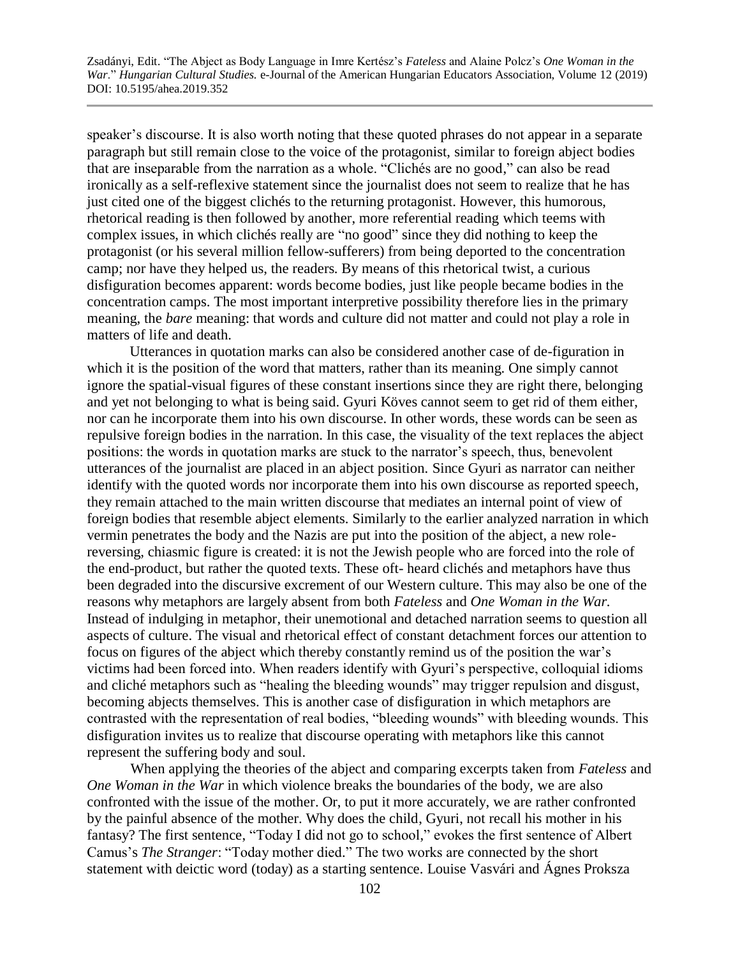speaker's discourse. It is also worth noting that these quoted phrases do not appear in a separate paragraph but still remain close to the voice of the protagonist, similar to foreign abject bodies that are inseparable from the narration as a whole. "Clichés are no good," can also be read ironically as a self-reflexive statement since the journalist does not seem to realize that he has just cited one of the biggest clichés to the returning protagonist. However, this humorous, rhetorical reading is then followed by another, more referential reading which teems with complex issues, in which clichés really are "no good" since they did nothing to keep the protagonist (or his several million fellow-sufferers) from being deported to the concentration camp; nor have they helped us, the readers. By means of this rhetorical twist, a curious disfiguration becomes apparent: words become bodies, just like people became bodies in the concentration camps. The most important interpretive possibility therefore lies in the primary meaning, the *bare* meaning: that words and culture did not matter and could not play a role in matters of life and death.

Utterances in quotation marks can also be considered another case of de-figuration in which it is the position of the word that matters, rather than its meaning. One simply cannot ignore the spatial-visual figures of these constant insertions since they are right there, belonging and yet not belonging to what is being said. Gyuri Köves cannot seem to get rid of them either, nor can he incorporate them into his own discourse. In other words, these words can be seen as repulsive foreign bodies in the narration. In this case, the visuality of the text replaces the abject positions: the words in quotation marks are stuck to the narrator's speech, thus, benevolent utterances of the journalist are placed in an abject position. Since Gyuri as narrator can neither identify with the quoted words nor incorporate them into his own discourse as reported speech, they remain attached to the main written discourse that mediates an internal point of view of foreign bodies that resemble abject elements. Similarly to the earlier analyzed narration in which vermin penetrates the body and the Nazis are put into the position of the abject, a new rolereversing, chiasmic figure is created: it is not the Jewish people who are forced into the role of the end-product, but rather the quoted texts. These oft- heard clichés and metaphors have thus been degraded into the discursive excrement of our Western culture. This may also be one of the reasons why metaphors are largely absent from both *Fateless* and *One Woman in the War.*  Instead of indulging in metaphor, their unemotional and detached narration seems to question all aspects of culture. The visual and rhetorical effect of constant detachment forces our attention to focus on figures of the abject which thereby constantly remind us of the position the war's victims had been forced into. When readers identify with Gyuri's perspective, colloquial idioms and cliché metaphors such as "healing the bleeding wounds" may trigger repulsion and disgust, becoming abjects themselves. This is another case of disfiguration in which metaphors are contrasted with the representation of real bodies, "bleeding wounds" with bleeding wounds. This disfiguration invites us to realize that discourse operating with metaphors like this cannot represent the suffering body and soul.

When applying the theories of the abject and comparing excerpts taken from *Fateless* and *One Woman in the War* in which violence breaks the boundaries of the body, we are also confronted with the issue of the mother. Or, to put it more accurately, we are rather confronted by the painful absence of the mother. Why does the child, Gyuri, not recall his mother in his fantasy? The first sentence, "Today I did not go to school," evokes the first sentence of Albert Camus's *The Stranger*: "Today mother died." The two works are connected by the short statement with deictic word (today) as a starting sentence. Louise Vasvári and Ágnes Proksza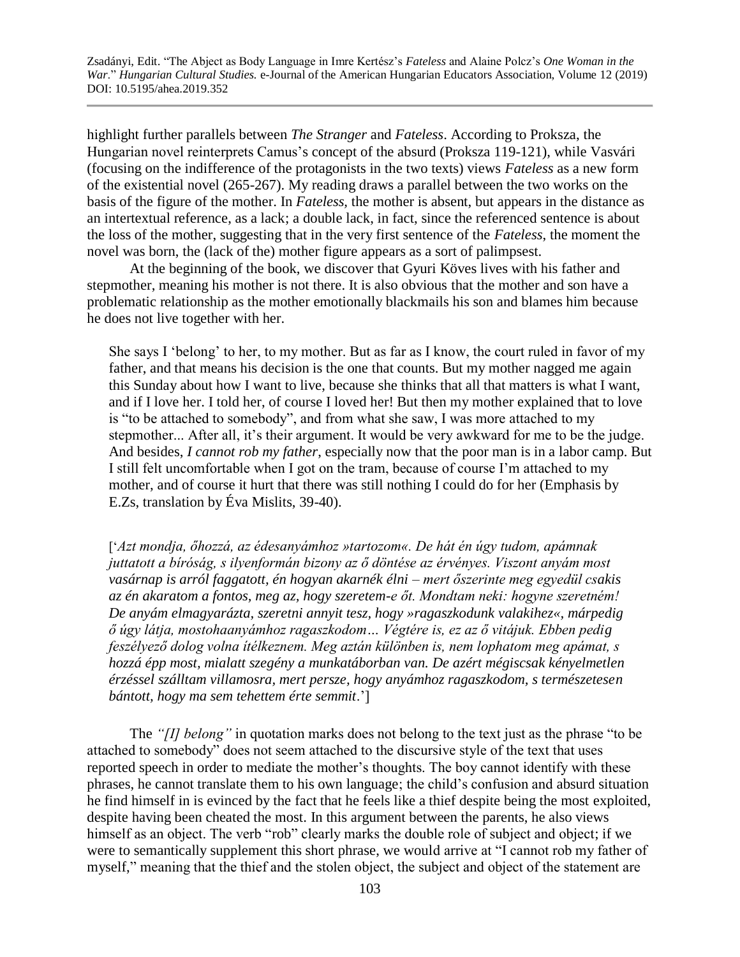highlight further parallels between *The Stranger* and *Fateless*. According to Proksza, the Hungarian novel reinterprets Camus's concept of the absurd (Proksza 119-121), while Vasvári (focusing on the indifference of the protagonists in the two texts) views *Fateless* as a new form of the existential novel (265-267). My reading draws a parallel between the two works on the basis of the figure of the mother. In *Fateless,* the mother is absent, but appears in the distance as an intertextual reference, as a lack; a double lack, in fact, since the referenced sentence is about the loss of the mother, suggesting that in the very first sentence of the *Fateless*, the moment the novel was born, the (lack of the) mother figure appears as a sort of palimpsest.

At the beginning of the book, we discover that Gyuri Köves lives with his father and stepmother, meaning his mother is not there. It is also obvious that the mother and son have a problematic relationship as the mother emotionally blackmails his son and blames him because he does not live together with her.

She says I 'belong' to her, to my mother. But as far as I know, the court ruled in favor of my father, and that means his decision is the one that counts. But my mother nagged me again this Sunday about how I want to live, because she thinks that all that matters is what I want, and if I love her. I told her, of course I loved her! But then my mother explained that to love is "to be attached to somebody", and from what she saw, I was more attached to my stepmother... After all, it's their argument. It would be very awkward for me to be the judge. And besides, *I cannot rob my father*, especially now that the poor man is in a labor camp. But I still felt uncomfortable when I got on the tram, because of course I'm attached to my mother, and of course it hurt that there was still nothing I could do for her (Emphasis by E.Zs, translation by Éva Mislits, 39-40).

['*Azt mondja, őhozzá, az édesanyámhoz »tartozom«. De hát én úgy tudom, apámnak juttatott a bíróság, s ilyenformán bizony az ő döntése az érvényes. Viszont anyám most vasárnap is arról faggatott, én hogyan akarnék élni – mert őszerinte meg egyedül csakis az én akaratom a fontos, meg az, hogy szeretem-e őt. Mondtam neki: hogyne szeretném! De anyám elmagyarázta, szeretni annyit tesz, hogy »ragaszkodunk valakihez«, márpedig ő úgy látja, mostohaanyámhoz ragaszkodom… Végtére is, ez az ő vitájuk. Ebben pedig feszélyező dolog volna ítélkeznem. Meg aztán különben is, nem lophatom meg apámat, s hozzá épp most, mialatt szegény a munkatáborban van. De azért mégiscsak kényelmetlen érzéssel szálltam villamosra, mert persze, hogy anyámhoz ragaszkodom, s természetesen bántott, hogy ma sem tehettem érte semmit*.']

The *"[I] belong"* in quotation marks does not belong to the text just as the phrase "to be attached to somebody" does not seem attached to the discursive style of the text that uses reported speech in order to mediate the mother's thoughts. The boy cannot identify with these phrases, he cannot translate them to his own language; the child's confusion and absurd situation he find himself in is evinced by the fact that he feels like a thief despite being the most exploited, despite having been cheated the most. In this argument between the parents, he also views himself as an object. The verb "rob" clearly marks the double role of subject and object; if we were to semantically supplement this short phrase, we would arrive at "I cannot rob my father of myself," meaning that the thief and the stolen object, the subject and object of the statement are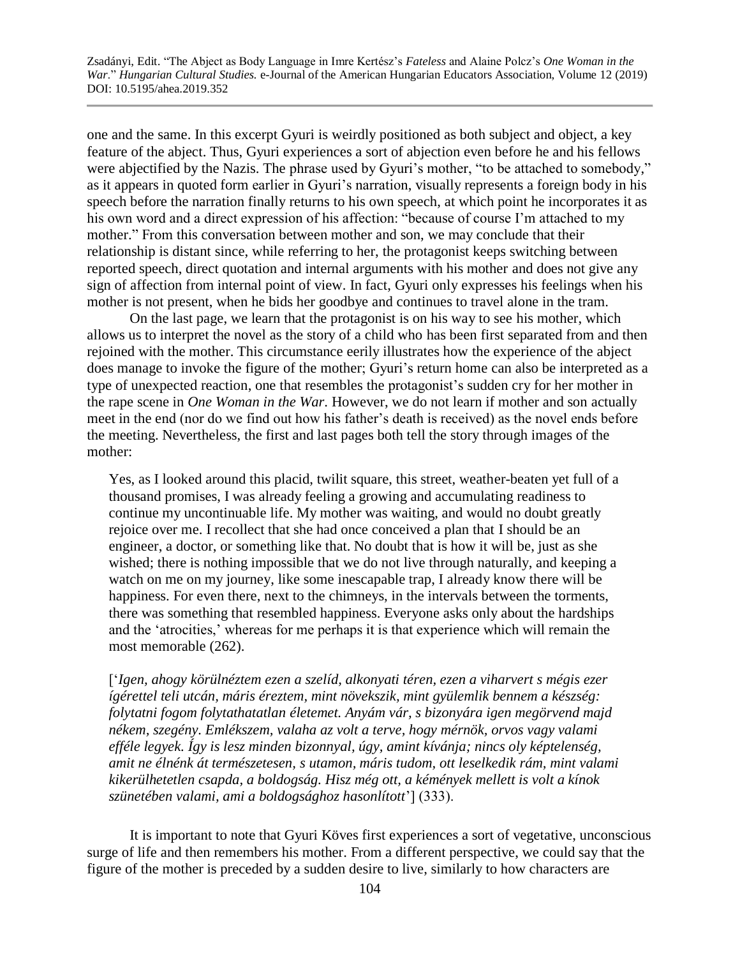one and the same. In this excerpt Gyuri is weirdly positioned as both subject and object, a key feature of the abject. Thus, Gyuri experiences a sort of abjection even before he and his fellows were abjectified by the Nazis. The phrase used by Gyuri's mother, "to be attached to somebody," as it appears in quoted form earlier in Gyuri's narration, visually represents a foreign body in his speech before the narration finally returns to his own speech, at which point he incorporates it as his own word and a direct expression of his affection: "because of course I'm attached to my mother." From this conversation between mother and son, we may conclude that their relationship is distant since, while referring to her, the protagonist keeps switching between reported speech, direct quotation and internal arguments with his mother and does not give any sign of affection from internal point of view. In fact, Gyuri only expresses his feelings when his mother is not present, when he bids her goodbye and continues to travel alone in the tram.

On the last page, we learn that the protagonist is on his way to see his mother, which allows us to interpret the novel as the story of a child who has been first separated from and then rejoined with the mother. This circumstance eerily illustrates how the experience of the abject does manage to invoke the figure of the mother; Gyuri's return home can also be interpreted as a type of unexpected reaction, one that resembles the protagonist's sudden cry for her mother in the rape scene in *One Woman in the War*. However, we do not learn if mother and son actually meet in the end (nor do we find out how his father's death is received) as the novel ends before the meeting. Nevertheless, the first and last pages both tell the story through images of the mother:

Yes, as I looked around this placid, twilit square, this street, weather-beaten yet full of a thousand promises, I was already feeling a growing and accumulating readiness to continue my uncontinuable life. My mother was waiting, and would no doubt greatly rejoice over me. I recollect that she had once conceived a plan that I should be an engineer, a doctor, or something like that. No doubt that is how it will be, just as she wished; there is nothing impossible that we do not live through naturally, and keeping a watch on me on my journey, like some inescapable trap, I already know there will be happiness. For even there, next to the chimneys, in the intervals between the torments, there was something that resembled happiness. Everyone asks only about the hardships and the 'atrocities,' whereas for me perhaps it is that experience which will remain the most memorable (262).

['*Igen, ahogy körülnéztem ezen a szelíd, alkonyati téren, ezen a viharvert s mégis ezer ígérettel teli utcán, máris éreztem, mint növekszik, mint gyülemlik bennem a készség: folytatni fogom folytathatatlan életemet. Anyám vár, s bizonyára igen megörvend majd nékem, szegény. Emlékszem, valaha az volt a terve, hogy mérnök, orvos vagy valami efféle legyek. Így is lesz minden bizonnyal, úgy, amint kívánja; nincs oly képtelenség, amit ne élnénk át természetesen, s utamon, máris tudom, ott leselkedik rám, mint valami kikerülhetetlen csapda, a boldogság. Hisz még ott, a kémények mellett is volt a kínok szünetében valami, ami a boldogsághoz hasonlított*'] (333).

It is important to note that Gyuri Köves first experiences a sort of vegetative, unconscious surge of life and then remembers his mother. From a different perspective, we could say that the figure of the mother is preceded by a sudden desire to live, similarly to how characters are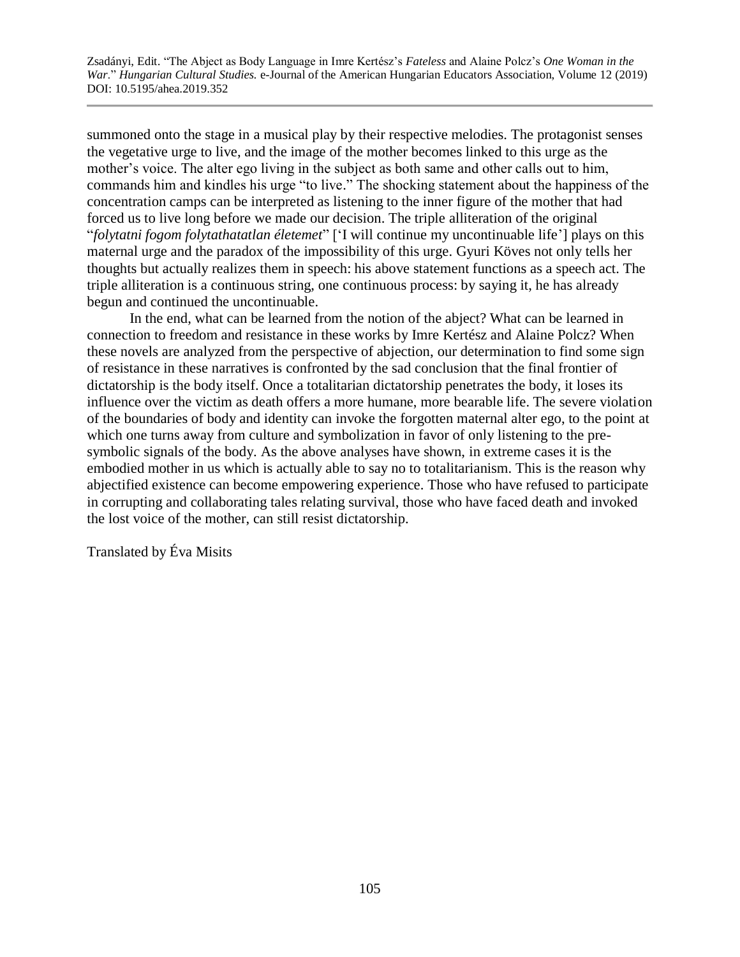summoned onto the stage in a musical play by their respective melodies. The protagonist senses the vegetative urge to live, and the image of the mother becomes linked to this urge as the mother's voice. The alter ego living in the subject as both same and other calls out to him, commands him and kindles his urge "to live." The shocking statement about the happiness of the concentration camps can be interpreted as listening to the inner figure of the mother that had forced us to live long before we made our decision. The triple alliteration of the original "*folytatni fogom folytathatatlan életemet*" ['I will continue my uncontinuable life'] plays on this maternal urge and the paradox of the impossibility of this urge. Gyuri Köves not only tells her thoughts but actually realizes them in speech: his above statement functions as a speech act. The triple alliteration is a continuous string, one continuous process: by saying it, he has already begun and continued the uncontinuable.

In the end, what can be learned from the notion of the abject? What can be learned in connection to freedom and resistance in these works by Imre Kertész and Alaine Polcz? When these novels are analyzed from the perspective of abjection, our determination to find some sign of resistance in these narratives is confronted by the sad conclusion that the final frontier of dictatorship is the body itself. Once a totalitarian dictatorship penetrates the body, it loses its influence over the victim as death offers a more humane, more bearable life. The severe violation of the boundaries of body and identity can invoke the forgotten maternal alter ego, to the point at which one turns away from culture and symbolization in favor of only listening to the presymbolic signals of the body. As the above analyses have shown, in extreme cases it is the embodied mother in us which is actually able to say no to totalitarianism. This is the reason why abjectified existence can become empowering experience. Those who have refused to participate in corrupting and collaborating tales relating survival, those who have faced death and invoked the lost voice of the mother, can still resist dictatorship.

Translated by Éva Misits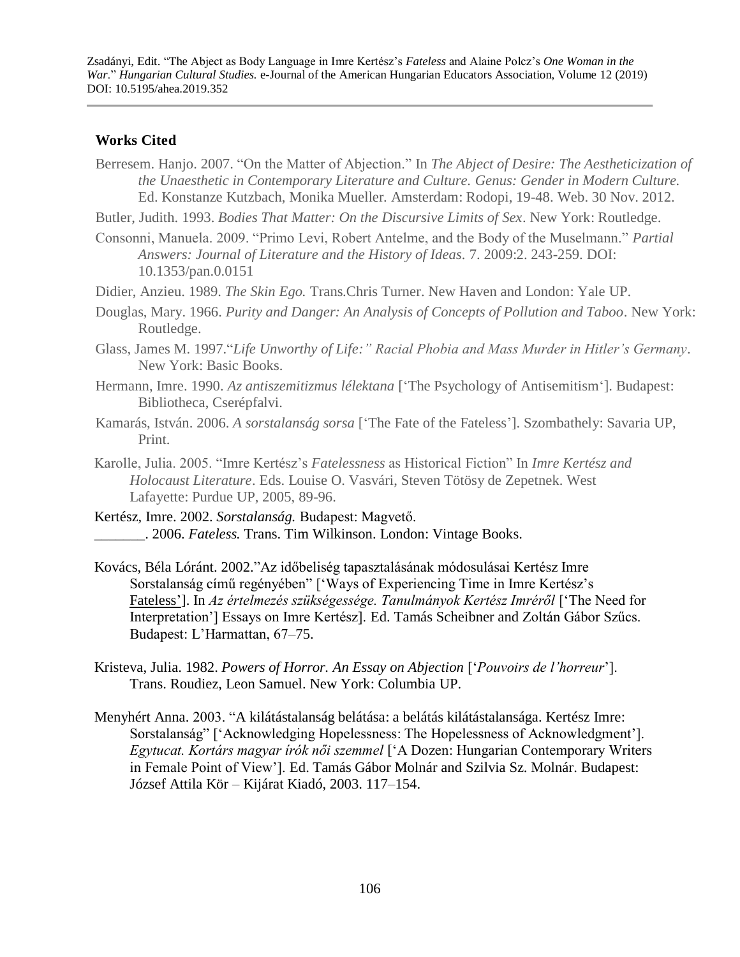#### **Works Cited**

Berresem. Hanjo. 2007. "On the Matter of Abjection." In *The Abject of Desire: The Aestheticization of the Unaesthetic in Contemporary Literature and Culture. Genus: Gender in Modern Culture.* Ed. Konstanze Kutzbach, Monika Mueller. Amsterdam: Rodopi, 19-48. Web. 30 Nov. 2012.

Butler, Judith. 1993. *Bodies That Matter: On the Discursive Limits of Sex*. New York: Routledge.

- Consonni, Manuela. 2009. "Primo Levi, Robert Antelme, and the Body of the Muselmann." *Partial Answers: Journal of Literature and the History of Ideas.* 7. 2009:2. 243-259. DOI: 10.1353/pan.0.0151
- Didier, Anzieu. 1989. *The Skin Ego.* Trans.Chris Turner. New Haven and London: Yale UP.
- Douglas, Mary. 1966. *Purity and Danger: An Analysis of Concepts of Pollution and Taboo*. New York: Routledge.
- Glass, James M. 1997."*Life Unworthy of Life:" Racial Phobia and Mass Murder in Hitler's Germany*. New York: Basic Books.
- Hermann, Imre. 1990. *Az antiszemitizmus lélektana* ['The Psychology of Antisemitism']. Budapest: Bibliotheca, Cserépfalvi.
- Kamarás, István. 2006. *A sorstalanság sorsa* ['The Fate of the Fateless']. Szombathely: Savaria UP, Print.
- Karolle, Julia. 2005. "Imre Kertész's *Fatelessness* as Historical Fiction" In *Imre Kertész and Holocaust Literature*. Eds. Louise O. Vasvári, Steven Tötösy de Zepetnek. West Lafayette: Purdue UP, 2005, 89-96.
- Kertész, Imre. 2002. *Sorstalanság.* Budapest: Magvető. \_\_\_\_\_\_\_. 2006. *Fateless.* Trans. Tim Wilkinson. London: Vintage Books.
- Kovács, Béla Lóránt. 2002."Az időbeliség tapasztalásának módosulásai Kertész Imre Sorstalanság című regényében" ['Ways of Experiencing Time in Imre Kertész's Fateless']. In *Az értelmezés szükségessége. Tanulmányok Kertész Imréről* ['The Need for Interpretation'] Essays on Imre Kertész]. Ed. Tamás Scheibner and Zoltán Gábor Szűcs. Budapest: L'Harmattan, 67–75.
- Kristeva, Julia. 1982. *Powers of Horror. An Essay on Abjection* ['*Pouvoirs de l'horreur*']. Trans. Roudiez, Leon Samuel. New York: Columbia UP.
- Menyhért Anna. 2003. "A kilátástalanság belátása: a belátás kilátástalansága. Kertész Imre: Sorstalanság" ['Acknowledging Hopelessness: The Hopelessness of Acknowledgment']. *Egytucat. Kortárs magyar írók női szemmel* ['A Dozen: Hungarian Contemporary Writers in Female Point of View']. Ed. Tamás Gábor Molnár and Szilvia Sz. Molnár. Budapest: József Attila Kör – Kijárat Kiadó, 2003. 117–154.